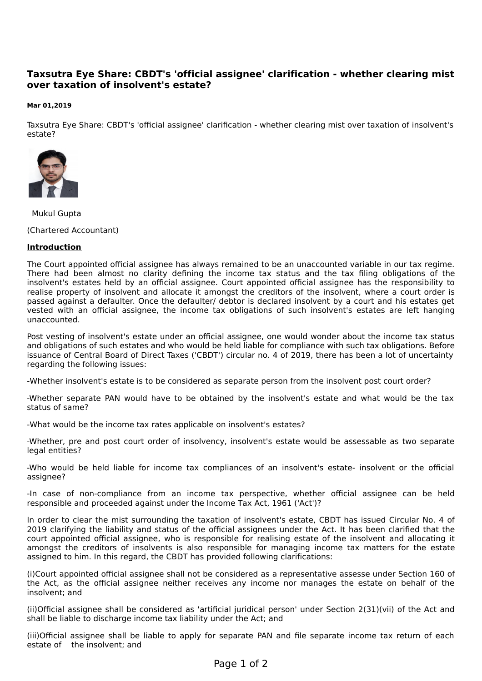# **Taxsutra Eye Share: CBDT's 'official assignee' clarification - whether clearing mist over taxation of insolvent's estate?**

#### **Mar 01,2019**

Taxsutra Eye Share: CBDT's 'official assignee' clarification - whether clearing mist over taxation of insolvent's estate?



Mukul Gupta

(Chartered Accountant)

### **Introduction**

The Court appointed official assignee has always remained to be an unaccounted variable in our tax regime. There had been almost no clarity defining the income tax status and the tax filing obligations of the insolvent's estates held by an official assignee. Court appointed official assignee has the responsibility to realise property of insolvent and allocate it amongst the creditors of the insolvent, where a court order is passed against a defaulter. Once the defaulter/ debtor is declared insolvent by a court and his estates get vested with an official assignee, the income tax obligations of such insolvent's estates are left hanging unaccounted.

Post vesting of insolvent's estate under an official assignee, one would wonder about the income tax status and obligations of such estates and who would be held liable for compliance with such tax obligations. Before issuance of Central Board of Direct Taxes ('CBDT') circular no. 4 of 2019, there has been a lot of uncertainty regarding the following issues:

-Whether insolvent's estate is to be considered as separate person from the insolvent post court order?

-Whether separate PAN would have to be obtained by the insolvent's estate and what would be the tax status of same?

-What would be the income tax rates applicable on insolvent's estates?

-Whether, pre and post court order of insolvency, insolvent's estate would be assessable as two separate legal entities?

-Who would be held liable for income tax compliances of an insolvent's estate- insolvent or the official assignee?

-In case of non-compliance from an income tax perspective, whether official assignee can be held responsible and proceeded against under the Income Tax Act, 1961 ('Act')?

In order to clear the mist surrounding the taxation of insolvent's estate, CBDT has issued Circular No. 4 of 2019 clarifying the liability and status of the official assignees under the Act. It has been clarified that the court appointed official assignee, who is responsible for realising estate of the insolvent and allocating it amongst the creditors of insolvents is also responsible for managing income tax matters for the estate assigned to him. In this regard, the CBDT has provided following clarifications:

(i)Court appointed official assignee shall not be considered as a representative assesse under Section 160 of the Act, as the official assignee neither receives any income nor manages the estate on behalf of the insolvent; and

(ii)Official assignee shall be considered as 'artificial juridical person' under Section 2(31)(vii) of the Act and shall be liable to discharge income tax liability under the Act; and

(iii)Official assignee shall be liable to apply for separate PAN and file separate income tax return of each estate of the insolvent; and